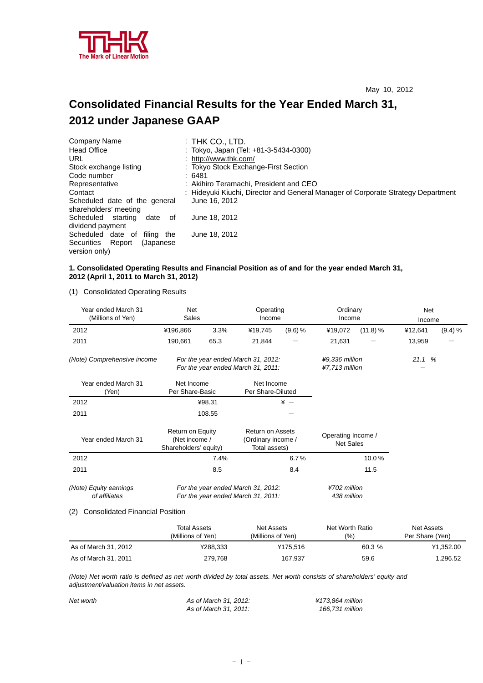

# **Consolidated Financial Results for the Year Ended March 31, 2012 under Japanese GAAP**

| Company Name                                           | : Thk Co., LTD.                                                                  |
|--------------------------------------------------------|----------------------------------------------------------------------------------|
| <b>Head Office</b>                                     | : Tokyo, Japan (Tel: +81-3-5434-0300)                                            |
| URL                                                    | : http://www.thk.com/                                                            |
| Stock exchange listing                                 | : Tokyo Stock Exchange-First Section                                             |
| Code number                                            | :6481                                                                            |
| Representative                                         | : Akihiro Teramachi, President and CEO                                           |
| Contact                                                | : Hideyuki Kiuchi, Director and General Manager of Corporate Strategy Department |
| Scheduled date of the general<br>shareholders' meeting | June 16, 2012                                                                    |
| Scheduled starting<br>date<br>0f<br>dividend payment   | June 18, 2012                                                                    |
| Scheduled date of<br>filing the                        | June 18, 2012                                                                    |
| Securities Report<br>(Japanese)<br>version only)       |                                                                                  |

#### **1. Consolidated Operating Results and Financial Position as of and for the year ended March 31, 2012 (April 1, 2011 to March 31, 2012)**

(1) Consolidated Operating Results

| Year ended March 31<br>(Millions of Yen) | Net<br>Sales                                                             |        | Operating<br>Income                                            |                                  | Ordinary<br>Income                     |          | Net<br>Income |         |
|------------------------------------------|--------------------------------------------------------------------------|--------|----------------------------------------------------------------|----------------------------------|----------------------------------------|----------|---------------|---------|
| 2012                                     | ¥196,866                                                                 | 3.3%   | ¥19,745                                                        | (9.6) %                          | ¥19,072                                | (11.8) % | ¥12,641       | (9.4) % |
| 2011                                     | 190,661                                                                  | 65.3   | 21,844                                                         |                                  | 21,631                                 |          | 13,959        |         |
| (Note) Comprehensive income              | For the year ended March 31, 2012:<br>For the year ended March 31, 2011: |        |                                                                | ¥9,336 million<br>¥7,713 million |                                        | 21.1%    |               |         |
| Year ended March 31<br>(Yen)             | Net Income<br>Per Share-Basic                                            |        | Net Income<br>Per Share-Diluted                                |                                  |                                        |          |               |         |
| 2012                                     |                                                                          | ¥98.31 |                                                                | $* -$                            |                                        |          |               |         |
| 2011                                     |                                                                          | 108.55 |                                                                |                                  |                                        |          |               |         |
| Year ended March 31                      | Return on Equity<br>(Net income /<br>Shareholders' equity)               |        | <b>Return on Assets</b><br>(Ordinary income /<br>Total assets) |                                  | Operating Income /<br><b>Net Sales</b> |          |               |         |
| 2012                                     | 7.4%                                                                     |        |                                                                | 6.7%                             |                                        | 10.0%    |               |         |
| 2011                                     |                                                                          | 8.5    |                                                                | 8.4                              |                                        | 11.5     |               |         |
| (Note) Equity earnings<br>of affiliates  | For the year ended March 31, 2012:<br>For the year ended March 31, 2011: |        | ¥702 million<br>438 million                                    |                                  |                                        |          |               |         |

#### (2) Consolidated Financial Position

|                      | Total Assets<br>(Millions of Yen) | Net Assets<br>(Millions of Yen). | Net Worth Ratio<br>(%) | Net Assets<br>Per Share (Yen) |
|----------------------|-----------------------------------|----------------------------------|------------------------|-------------------------------|
| As of March 31, 2012 | ¥288.333                          | ¥175.516                         | 60.3%                  | ¥1.352.00                     |
| As of March 31, 2011 | 279.768                           | 167,937                          | 59.6                   | ,296.52                       |

*(Note) Net worth ratio is defined as net worth divided by total assets. Net worth consists of shareholders' equity and adjustment/valuation items in net assets.* 

| Net worth | As of March 31, 2012: | ¥173.864 million |
|-----------|-----------------------|------------------|
|           | As of March 31, 2011: | 166.731 million  |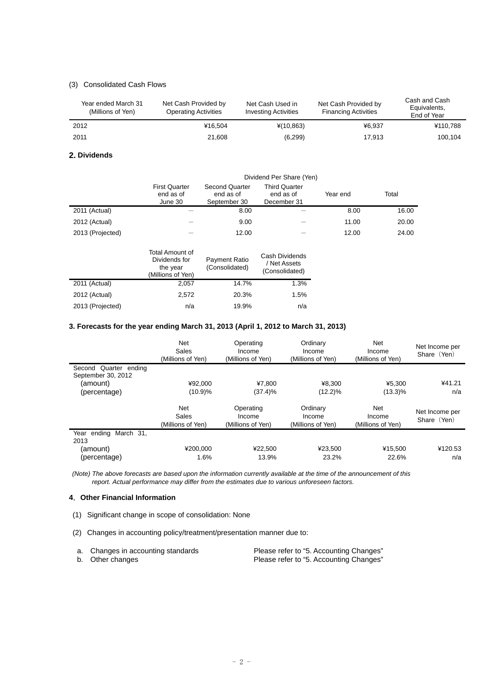## (3) Consolidated Cash Flows

| Year ended March 31<br>(Millions of Yen) | Net Cash Provided by<br><b>Operating Activities</b> | Net Cash Used in<br><b>Investing Activities</b> | Net Cash Provided by<br><b>Financing Activities</b> | Cash and Cash<br>Equivalents,<br>End of Year |
|------------------------------------------|-----------------------------------------------------|-------------------------------------------------|-----------------------------------------------------|----------------------------------------------|
| 2012                                     | ¥16.504                                             | $*(10, 863)$                                    | ¥6.937                                              | ¥110.788                                     |
| 2011                                     | 21.608                                              | (6, 299)                                        | 17.913                                              | 100.104                                      |

#### **2. Dividends**

|                  |                                              | Dividend Per Share (Yen)                    |                                                  |          |       |  |
|------------------|----------------------------------------------|---------------------------------------------|--------------------------------------------------|----------|-------|--|
|                  | <b>First Quarter</b><br>end as of<br>June 30 | Second Quarter<br>end as of<br>September 30 | <b>Third Quarter</b><br>end as of<br>December 31 | Year end | Total |  |
| 2011 (Actual)    |                                              | 8.00                                        |                                                  | 8.00     | 16.00 |  |
| 2012 (Actual)    |                                              | 9.00                                        |                                                  | 11.00    | 20.00 |  |
| 2013 (Projected) |                                              | 12.00                                       |                                                  | 12.00    | 24.00 |  |
|                  | Total Amount of                              |                                             | Cash Dividends                                   |          |       |  |

|                  | Dividends for<br>the year<br>(Millions of Yen) | Payment Ratio<br>(Consolidated) | Cash Dividends<br>/ Net Assets<br>(Consolidated) |
|------------------|------------------------------------------------|---------------------------------|--------------------------------------------------|
| 2011 (Actual)    | 2.057                                          | 14.7%                           | 1.3%                                             |
| 2012 (Actual)    | 2.572                                          | 20.3%                           | 1.5%                                             |
| 2013 (Projected) | n/a                                            | 19.9%                           | n/a                                              |

## **3. Forecasts for the year ending March 31, 2013 (April 1, 2012 to March 31, 2013)**

|                                             | <b>Net</b><br>Sales<br>(Millions of Yen) | Operating<br>Income<br>(Millions of Yen) | Ordinary<br>Income<br>(Millions of Yen) | Net<br>Income<br>(Millions of Yen) | Net Income per<br>Share (Yen) |
|---------------------------------------------|------------------------------------------|------------------------------------------|-----------------------------------------|------------------------------------|-------------------------------|
| Second Quarter ending<br>September 30, 2012 |                                          |                                          |                                         |                                    |                               |
| (amount)                                    | ¥92.000                                  | ¥7.800                                   | ¥8.300                                  | ¥5.300                             | ¥41.21                        |
| (percentage)                                | (10.9)%                                  | (37.4)%                                  | $(12.2)\%$                              | $(13.3)\%$                         | n/a                           |
|                                             | <b>Net</b><br>Sales<br>(Millions of Yen) | Operating<br>Income<br>(Millions of Yen) | Ordinary<br>Income<br>(Millions of Yen) | Net<br>Income<br>(Millions of Yen) | Net Income per<br>Share (Yen) |
| Year ending<br>March 31.<br>2013            |                                          |                                          |                                         |                                    |                               |
| (amount)                                    | ¥200.000                                 | ¥22,500                                  | ¥23,500                                 | ¥15,500                            | ¥120.53                       |
| (percentage)                                | 1.6%                                     | 13.9%                                    | 23.2%                                   | 22.6%                              | n/a                           |

 *(Note) The above forecasts are based upon the information currently available at the time of the announcement of this report. Actual performance may differ from the estimates due to various unforeseen factors.* 

### **4**.**Other Financial Information**

- (1) Significant change in scope of consolidation: None
- (2) Changes in accounting policy/treatment/presentation manner due to:

| a. Changes in accounting standards | Please refer to "5. Accounting Changes" |
|------------------------------------|-----------------------------------------|
| b. Other changes                   | Please refer to "5. Accounting Changes" |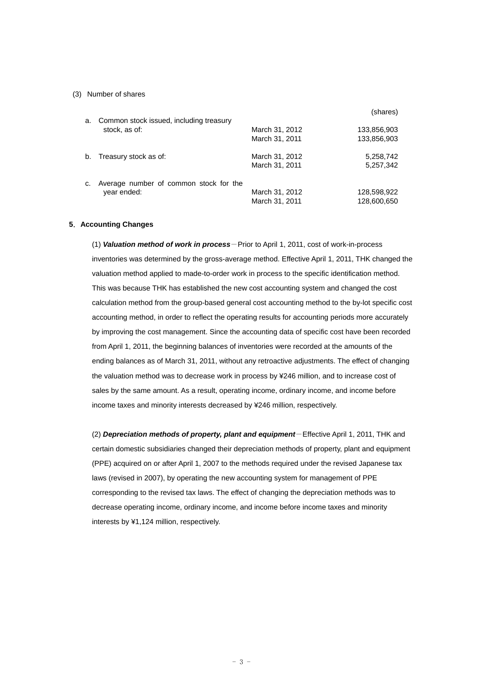#### (3) Number of shares

|    |                                         |                | (shares)    |
|----|-----------------------------------------|----------------|-------------|
| a. | Common stock issued, including treasury |                |             |
|    | stock, as of:                           | March 31, 2012 | 133,856,903 |
|    |                                         | March 31, 2011 | 133,856,903 |
| b. | Treasury stock as of:                   | March 31, 2012 | 5,258,742   |
|    |                                         | March 31, 2011 | 5,257,342   |
| C. | Average number of common stock for the  |                |             |
|    | year ended:                             | March 31, 2012 | 128,598,922 |
|    |                                         | March 31, 2011 | 128,600,650 |

#### **5**.**Accounting Changes**

(1) *Valuation method of work in process*-Prior to April 1, 2011, cost of work-in-process inventories was determined by the gross-average method. Effective April 1, 2011, THK changed the valuation method applied to made-to-order work in process to the specific identification method. This was because THK has established the new cost accounting system and changed the cost calculation method from the group-based general cost accounting method to the by-lot specific cost accounting method, in order to reflect the operating results for accounting periods more accurately by improving the cost management. Since the accounting data of specific cost have been recorded from April 1, 2011, the beginning balances of inventories were recorded at the amounts of the ending balances as of March 31, 2011, without any retroactive adjustments. The effect of changing the valuation method was to decrease work in process by ¥246 million, and to increase cost of sales by the same amount. As a result, operating income, ordinary income, and income before income taxes and minority interests decreased by ¥246 million, respectively.

(2) *Depreciation methods of property, plant and equipment*-Effective April 1, 2011, THK and certain domestic subsidiaries changed their depreciation methods of property, plant and equipment (PPE) acquired on or after April 1, 2007 to the methods required under the revised Japanese tax laws (revised in 2007), by operating the new accounting system for management of PPE corresponding to the revised tax laws. The effect of changing the depreciation methods was to decrease operating income, ordinary income, and income before income taxes and minority interests by ¥1,124 million, respectively.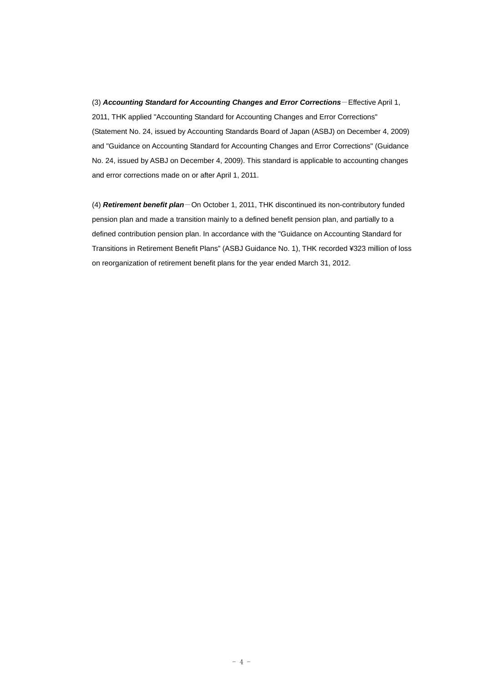(3) *Accounting Standard for Accounting Changes and Error Corrections*-Effective April 1, 2011, THK applied "Accounting Standard for Accounting Changes and Error Corrections" (Statement No. 24, issued by Accounting Standards Board of Japan (ASBJ) on December 4, 2009) and "Guidance on Accounting Standard for Accounting Changes and Error Corrections" (Guidance No. 24, issued by ASBJ on December 4, 2009). This standard is applicable to accounting changes and error corrections made on or after April 1, 2011.

(4) *Retirement benefit plan*-On October 1, 2011, THK discontinued its non-contributory funded pension plan and made a transition mainly to a defined benefit pension plan, and partially to a defined contribution pension plan. In accordance with the "Guidance on Accounting Standard for Transitions in Retirement Benefit Plans" (ASBJ Guidance No. 1), THK recorded ¥323 million of loss on reorganization of retirement benefit plans for the year ended March 31, 2012.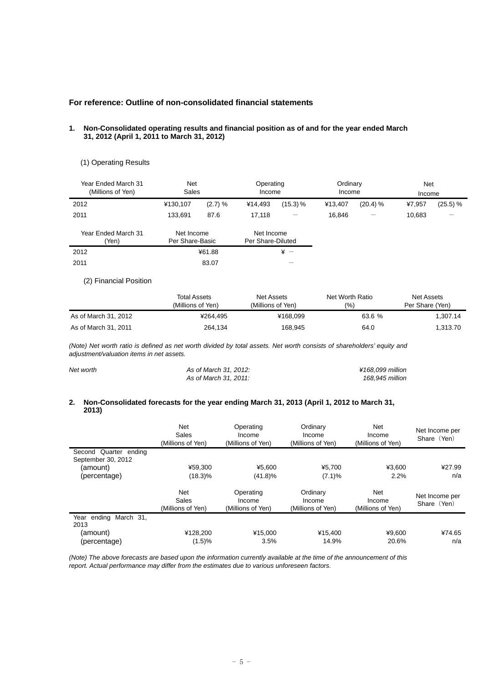## **For reference: Outline of non-consolidated financial statements**

2011 83.07 -

#### **1. Non-Consolidated operating results and financial position as of and for the year ended March 31, 2012 (April 1, 2011 to March 31, 2012)**

#### (1) Operating Results

| Year Ended March 31<br>(Millions of Yen) | <b>Net</b><br>Sales           |         | Operating<br>Income             |              | Ordinary<br>Income |          | Net<br>Income |          |
|------------------------------------------|-------------------------------|---------|---------------------------------|--------------|--------------------|----------|---------------|----------|
| 2012                                     | ¥130.107                      | (2.7) % | ¥14.493                         | (15.3) %     | ¥13.407            | (20.4) % | ¥7,957        | (25.5) % |
| 2011                                     | 133.691                       | 87.6    | 17.118                          |              | 16.846             |          | 10,683        |          |
| Year Ended March 31<br>'Yen)             | Net Income<br>Per Share-Basic |         | Net Income<br>Per Share-Diluted |              |                    |          |               |          |
| 2012                                     |                               | ¥61.88  |                                 | $\angle x$ - |                    |          |               |          |

## (2) Financial Position

|                      | <b>Total Assets</b> | Net Assets         | Net Worth Ratio | Net Assets      |
|----------------------|---------------------|--------------------|-----------------|-----------------|
|                      | (Millions of Yen)   | (Millions of Yen). | $(9)_{0}$       | Per Share (Yen) |
| As of March 31, 2012 | ¥264.495            | ¥168.099           | 63.6 %          | 1.307.14        |
| As of March 31, 2011 | 264,134             | 168,945            | 64.0            | 1,313.70        |

*(Note) Net worth ratio is defined as net worth divided by total assets. Net worth consists of shareholders' equity and adjustment/valuation items in net assets.* 

| Net worth | As of March 31, 2012: | ¥168.099 million |
|-----------|-----------------------|------------------|
|           | As of March 31, 2011: | 168.945 million  |

#### **2. Non-Consolidated forecasts for the year ending March 31, 2013 (April 1, 2012 to March 31, 2013)**

|                                             | <b>Net</b><br>Sales<br>(Millions of Yen) | Operating<br>Income<br>(Millions of Yen) | Ordinary<br>Income<br>(Millions of Yen) | Net<br>Income<br>(Millions of Yen) | Net Income per<br>Share (Yen) |
|---------------------------------------------|------------------------------------------|------------------------------------------|-----------------------------------------|------------------------------------|-------------------------------|
| Second Quarter ending<br>September 30, 2012 |                                          |                                          |                                         |                                    |                               |
| (amount)                                    | ¥59.300                                  | ¥5.600                                   | ¥5.700                                  | ¥3.600                             | ¥27.99                        |
| (percentage)                                | $(18.3)\%$                               | (41.8)%                                  | (7.1)%                                  | 2.2%                               | n/a                           |
|                                             | <b>Net</b><br>Sales<br>(Millions of Yen) | Operating<br>Income<br>(Millions of Yen) | Ordinary<br>Income<br>(Millions of Yen) | Net<br>Income<br>(Millions of Yen) | Net Income per<br>Share (Yen) |
| ending<br>March 31.<br>Year<br>2013         |                                          |                                          |                                         |                                    |                               |
| (amount)                                    | ¥128,200                                 | ¥15,000                                  | ¥15,400                                 | ¥9,600                             | ¥74.65                        |
| (percentage)                                | (1.5)%                                   | 3.5%                                     | 14.9%                                   | 20.6%                              | n/a                           |

*(Note) The above forecasts are based upon the information currently available at the time of the announcement of this report. Actual performance may differ from the estimates due to various unforeseen factors.*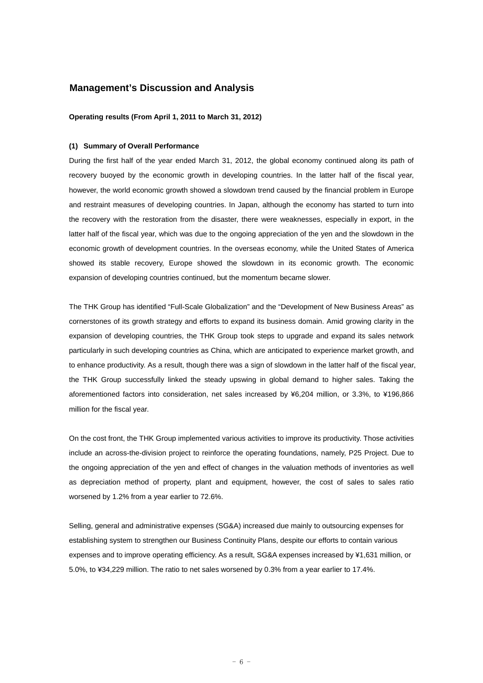## **Management's Discussion and Analysis**

**Operating results (From April 1, 2011 to March 31, 2012)** 

#### **(1) Summary of Overall Performance**

During the first half of the year ended March 31, 2012, the global economy continued along its path of recovery buoyed by the economic growth in developing countries. In the latter half of the fiscal year, however, the world economic growth showed a slowdown trend caused by the financial problem in Europe and restraint measures of developing countries. In Japan, although the economy has started to turn into the recovery with the restoration from the disaster, there were weaknesses, especially in export, in the latter half of the fiscal year, which was due to the ongoing appreciation of the yen and the slowdown in the economic growth of development countries. In the overseas economy, while the United States of America showed its stable recovery, Europe showed the slowdown in its economic growth. The economic expansion of developing countries continued, but the momentum became slower.

The THK Group has identified "Full-Scale Globalization" and the "Development of New Business Areas" as cornerstones of its growth strategy and efforts to expand its business domain. Amid growing clarity in the expansion of developing countries, the THK Group took steps to upgrade and expand its sales network particularly in such developing countries as China, which are anticipated to experience market growth, and to enhance productivity. As a result, though there was a sign of slowdown in the latter half of the fiscal year, the THK Group successfully linked the steady upswing in global demand to higher sales. Taking the aforementioned factors into consideration, net sales increased by ¥6,204 million, or 3.3%, to ¥196,866 million for the fiscal year.

On the cost front, the THK Group implemented various activities to improve its productivity. Those activities include an across-the-division project to reinforce the operating foundations, namely, P25 Project. Due to the ongoing appreciation of the yen and effect of changes in the valuation methods of inventories as well as depreciation method of property, plant and equipment, however, the cost of sales to sales ratio worsened by 1.2% from a year earlier to 72.6%.

Selling, general and administrative expenses (SG&A) increased due mainly to outsourcing expenses for establishing system to strengthen our Business Continuity Plans, despite our efforts to contain various expenses and to improve operating efficiency. As a result, SG&A expenses increased by ¥1,631 million, or 5.0%, to ¥34,229 million. The ratio to net sales worsened by 0.3% from a year earlier to 17.4%.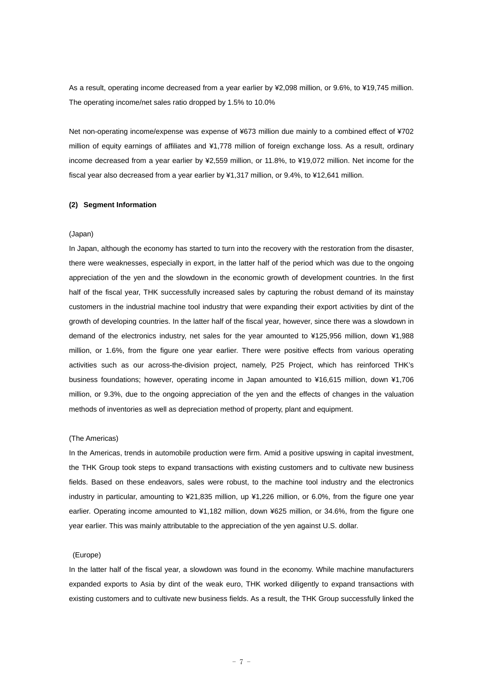As a result, operating income decreased from a year earlier by ¥2,098 million, or 9.6%, to ¥19,745 million. The operating income/net sales ratio dropped by 1.5% to 10.0%

Net non-operating income/expense was expense of ¥673 million due mainly to a combined effect of ¥702 million of equity earnings of affiliates and ¥1,778 million of foreign exchange loss. As a result, ordinary income decreased from a year earlier by ¥2,559 million, or 11.8%, to ¥19,072 million. Net income for the fiscal year also decreased from a year earlier by ¥1,317 million, or 9.4%, to ¥12,641 million.

#### **(2) Segment Information**

#### (Japan)

In Japan, although the economy has started to turn into the recovery with the restoration from the disaster, there were weaknesses, especially in export, in the latter half of the period which was due to the ongoing appreciation of the yen and the slowdown in the economic growth of development countries. In the first half of the fiscal year, THK successfully increased sales by capturing the robust demand of its mainstay customers in the industrial machine tool industry that were expanding their export activities by dint of the growth of developing countries. In the latter half of the fiscal year, however, since there was a slowdown in demand of the electronics industry, net sales for the year amounted to ¥125,956 million, down ¥1,988 million, or 1.6%, from the figure one year earlier. There were positive effects from various operating activities such as our across-the-division project, namely, P25 Project, which has reinforced THK's business foundations; however, operating income in Japan amounted to ¥16,615 million, down ¥1,706 million, or 9.3%, due to the ongoing appreciation of the yen and the effects of changes in the valuation methods of inventories as well as depreciation method of property, plant and equipment.

#### (The Americas)

In the Americas, trends in automobile production were firm. Amid a positive upswing in capital investment, the THK Group took steps to expand transactions with existing customers and to cultivate new business fields. Based on these endeavors, sales were robust, to the machine tool industry and the electronics industry in particular, amounting to ¥21,835 million, up ¥1,226 million, or 6.0%, from the figure one year earlier. Operating income amounted to ¥1,182 million, down ¥625 million, or 34.6%, from the figure one year earlier. This was mainly attributable to the appreciation of the yen against U.S. dollar.

#### (Europe)

In the latter half of the fiscal year, a slowdown was found in the economy. While machine manufacturers expanded exports to Asia by dint of the weak euro, THK worked diligently to expand transactions with existing customers and to cultivate new business fields. As a result, the THK Group successfully linked the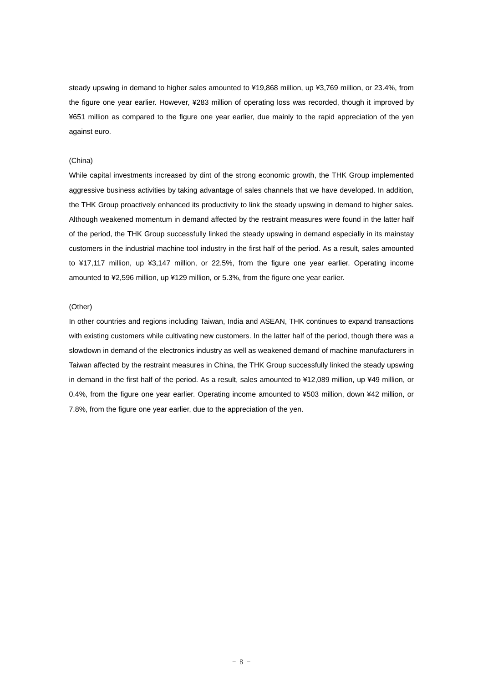steady upswing in demand to higher sales amounted to ¥19,868 million, up ¥3,769 million, or 23.4%, from the figure one year earlier. However, ¥283 million of operating loss was recorded, though it improved by ¥651 million as compared to the figure one year earlier, due mainly to the rapid appreciation of the yen against euro.

#### (China)

While capital investments increased by dint of the strong economic growth, the THK Group implemented aggressive business activities by taking advantage of sales channels that we have developed. In addition, the THK Group proactively enhanced its productivity to link the steady upswing in demand to higher sales. Although weakened momentum in demand affected by the restraint measures were found in the latter half of the period, the THK Group successfully linked the steady upswing in demand especially in its mainstay customers in the industrial machine tool industry in the first half of the period. As a result, sales amounted to ¥17,117 million, up ¥3,147 million, or 22.5%, from the figure one year earlier. Operating income amounted to ¥2,596 million, up ¥129 million, or 5.3%, from the figure one year earlier.

#### (Other)

In other countries and regions including Taiwan, India and ASEAN, THK continues to expand transactions with existing customers while cultivating new customers. In the latter half of the period, though there was a slowdown in demand of the electronics industry as well as weakened demand of machine manufacturers in Taiwan affected by the restraint measures in China, the THK Group successfully linked the steady upswing in demand in the first half of the period. As a result, sales amounted to ¥12,089 million, up ¥49 million, or 0.4%, from the figure one year earlier. Operating income amounted to ¥503 million, down ¥42 million, or 7.8%, from the figure one year earlier, due to the appreciation of the yen.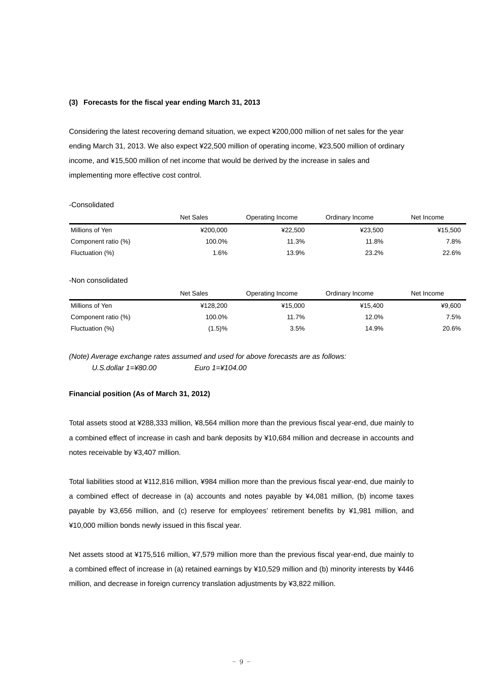#### **(3) Forecasts for the fiscal year ending March 31, 2013**

Considering the latest recovering demand situation, we expect ¥200,000 million of net sales for the year ending March 31, 2013. We also expect ¥22,500 million of operating income, ¥23,500 million of ordinary income, and ¥15,500 million of net income that would be derived by the increase in sales and implementing more effective cost control.

#### -Consolidated

|                     | <b>Net Sales</b> | Operating Income | Ordinary Income | Net Income |
|---------------------|------------------|------------------|-----------------|------------|
| Millions of Yen     | ¥200.000         | ¥22.500          | ¥23.500         | ¥15.500    |
| Component ratio (%) | 100.0%           | 11.3%            | 11.8%           | 7.8%       |
| Fluctuation (%)     | .6%              | 13.9%            | 23.2%           | 22.6%      |

#### -Non consolidated

|                     | Net Sales | Operating Income | Ordinary Income | Net Income |
|---------------------|-----------|------------------|-----------------|------------|
| Millions of Yen     | ¥128.200  | ¥15,000          | ¥15.400         | ¥9.600     |
| Component ratio (%) | 100.0%    | 11.7%            | 12.0%           | 7.5%       |
| Fluctuation (%)     | $(1.5)\%$ | 3.5%             | 14.9%           | 20.6%      |

*(Note) Average exchange rates assumed and used for above forecasts are as follows: U.S.dollar 1=¥80.00 Euro 1=¥104.00* 

### **Financial position (As of March 31, 2012)**

Total assets stood at ¥288,333 million, ¥8,564 million more than the previous fiscal year-end, due mainly to a combined effect of increase in cash and bank deposits by ¥10,684 million and decrease in accounts and notes receivable by ¥3,407 million.

Total liabilities stood at ¥112,816 million, ¥984 million more than the previous fiscal year-end, due mainly to a combined effect of decrease in (a) accounts and notes payable by ¥4,081 million, (b) income taxes payable by ¥3,656 million, and (c) reserve for employees' retirement benefits by ¥1,981 million, and ¥10,000 million bonds newly issued in this fiscal year.

Net assets stood at ¥175,516 million, ¥7,579 million more than the previous fiscal year-end, due mainly to a combined effect of increase in (a) retained earnings by ¥10,529 million and (b) minority interests by ¥446 million, and decrease in foreign currency translation adjustments by ¥3,822 million.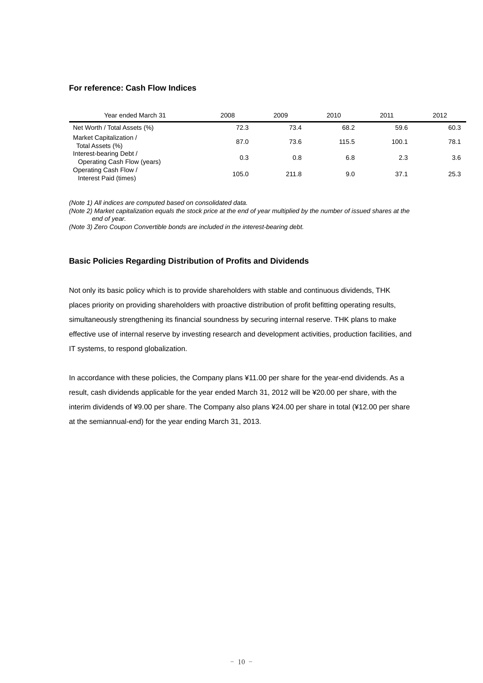### **For reference: Cash Flow Indices**

| Year ended March 31                                    | 2008  | 2009  | 2010  | 2011  | 2012 |
|--------------------------------------------------------|-------|-------|-------|-------|------|
| Net Worth / Total Assets (%)                           | 72.3  | 73.4  | 68.2  | 59.6  | 60.3 |
| Market Capitalization /<br>Total Assets (%)            | 87.0  | 73.6  | 115.5 | 100.1 | 78.1 |
| Interest-bearing Debt /<br>Operating Cash Flow (years) | 0.3   | 0.8   | 6.8   | 2.3   | 3.6  |
| Operating Cash Flow /<br>Interest Paid (times)         | 105.0 | 211.8 | 9.0   | 37.1  | 25.3 |

*(Note 1) All indices are computed based on consolidated data.* 

*(Note 2) Market capitalization equals the stock price at the end of year multiplied by the number of issued shares at the end of year.* 

*(Note 3) Zero Coupon Convertible bonds are included in the interest-bearing debt.* 

## **Basic Policies Regarding Distribution of Profits and Dividends**

Not only its basic policy which is to provide shareholders with stable and continuous dividends, THK places priority on providing shareholders with proactive distribution of profit befitting operating results, simultaneously strengthening its financial soundness by securing internal reserve. THK plans to make effective use of internal reserve by investing research and development activities, production facilities, and IT systems, to respond globalization.

In accordance with these policies, the Company plans ¥11.00 per share for the year-end dividends. As a result, cash dividends applicable for the year ended March 31, 2012 will be ¥20.00 per share, with the interim dividends of ¥9.00 per share. The Company also plans ¥24.00 per share in total (¥12.00 per share at the semiannual-end) for the year ending March 31, 2013.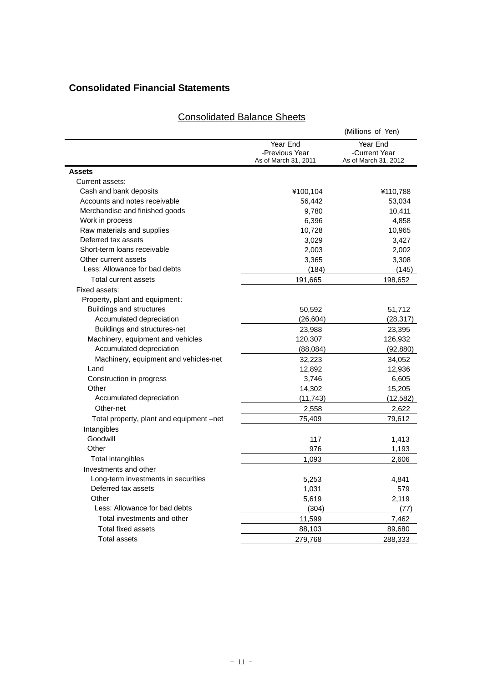## **Consolidated Financial Statements**

|                                          |                                                    | (Millions of Yen)                                 |
|------------------------------------------|----------------------------------------------------|---------------------------------------------------|
|                                          | Year End<br>-Previous Year<br>As of March 31, 2011 | Year End<br>-Current Year<br>As of March 31, 2012 |
| Assets                                   |                                                    |                                                   |
| Current assets:                          |                                                    |                                                   |
| Cash and bank deposits                   | ¥100,104                                           | ¥110,788                                          |
| Accounts and notes receivable            | 56,442                                             | 53,034                                            |
| Merchandise and finished goods           | 9,780                                              | 10,411                                            |
| Work in process                          | 6,396                                              | 4,858                                             |
| Raw materials and supplies               | 10,728                                             | 10,965                                            |
| Deferred tax assets                      | 3,029                                              | 3,427                                             |
| Short-term loans receivable              | 2,003                                              | 2,002                                             |
| Other current assets                     | 3,365                                              | 3,308                                             |
| Less: Allowance for bad debts            | (184)                                              | (145)                                             |
| Total current assets                     | 191,665                                            | 198,652                                           |
| Fixed assets:                            |                                                    |                                                   |
| Property, plant and equipment:           |                                                    |                                                   |
| <b>Buildings and structures</b>          | 50,592                                             | 51,712                                            |
| Accumulated depreciation                 | (26, 604)                                          | (28, 317)                                         |
| Buildings and structures-net             | 23,988                                             | 23,395                                            |
| Machinery, equipment and vehicles        | 120,307                                            | 126,932                                           |
| Accumulated depreciation                 | (88, 084)                                          | (92, 880)                                         |
| Machinery, equipment and vehicles-net    | 32,223                                             | 34,052                                            |
| Land                                     | 12,892                                             | 12,936                                            |
| Construction in progress                 | 3,746                                              | 6,605                                             |
| Other                                    | 14,302                                             | 15,205                                            |
| Accumulated depreciation                 | (11, 743)                                          | (12, 582)                                         |
| Other-net                                | 2,558                                              | 2,622                                             |
| Total property, plant and equipment -net | 75,409                                             | 79,612                                            |
| Intangibles                              |                                                    |                                                   |
| Goodwill                                 | 117                                                | 1,413                                             |
| Other                                    | 976                                                | 1,193                                             |
| Total intangibles                        | 1,093                                              | 2,606                                             |
| Investments and other                    |                                                    |                                                   |
| Long-term investments in securities      | 5,253                                              | 4,841                                             |
| Deferred tax assets                      | 1,031                                              | 579                                               |
| Other                                    | 5,619                                              | 2,119                                             |
| Less: Allowance for bad debts            | (304)                                              | (77)                                              |
| Total investments and other              | 11,599                                             | 7,462                                             |
| <b>Total fixed assets</b>                | 88,103                                             | 89,680                                            |
| <b>Total assets</b>                      | 279,768                                            | 288,333                                           |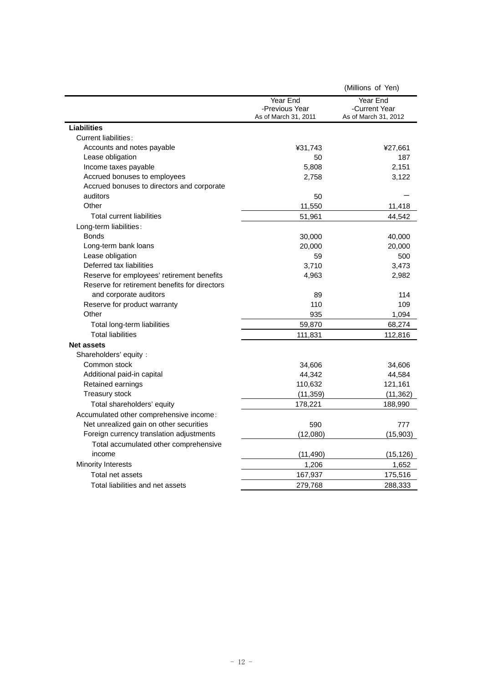|                                               |                                                    | (Millions of Yen)                                 |
|-----------------------------------------------|----------------------------------------------------|---------------------------------------------------|
|                                               | Year End<br>-Previous Year<br>As of March 31, 2011 | Year End<br>-Current Year<br>As of March 31, 2012 |
| Liabilities                                   |                                                    |                                                   |
| Current liabilities:                          |                                                    |                                                   |
| Accounts and notes payable                    | ¥31,743                                            | ¥27,661                                           |
| Lease obligation                              | 50                                                 | 187                                               |
| Income taxes payable                          | 5,808                                              | 2,151                                             |
| Accrued bonuses to employees                  | 2,758                                              | 3,122                                             |
| Accrued bonuses to directors and corporate    |                                                    |                                                   |
| auditors                                      | 50                                                 |                                                   |
| Other                                         | 11,550                                             | 11,418                                            |
| <b>Total current liabilities</b>              | 51,961                                             | 44,542                                            |
| Long-term liabilities:                        |                                                    |                                                   |
| <b>Bonds</b>                                  | 30,000                                             | 40,000                                            |
| Long-term bank loans                          | 20,000                                             | 20,000                                            |
| Lease obligation                              | 59                                                 | 500                                               |
| Deferred tax liabilities                      | 3,710                                              | 3,473                                             |
| Reserve for employees' retirement benefits    | 4,963                                              | 2,982                                             |
| Reserve for retirement benefits for directors |                                                    |                                                   |
| and corporate auditors                        | 89                                                 | 114                                               |
| Reserve for product warranty                  | 110                                                | 109                                               |
| Other                                         | 935                                                | 1,094                                             |
| Total long-term liabilities                   | 59,870                                             | 68,274                                            |
| <b>Total liabilities</b>                      | 111,831                                            | 112,816                                           |
| <b>Net assets</b>                             |                                                    |                                                   |
| Shareholders' equity:                         |                                                    |                                                   |
| Common stock                                  | 34,606                                             | 34,606                                            |
| Additional paid-in capital                    | 44,342                                             | 44,584                                            |
| Retained earnings                             | 110,632                                            | 121,161                                           |
| Treasury stock                                | (11, 359)                                          | (11, 362)                                         |
| Total shareholders' equity                    | 178,221                                            | 188,990                                           |
| Accumulated other comprehensive income:       |                                                    |                                                   |
| Net unrealized gain on other securities       | 590                                                | 777                                               |
| Foreign currency translation adjustments      | (12,080)                                           | (15,903)                                          |
| Total accumulated other comprehensive         |                                                    |                                                   |
| income                                        | (11, 490)                                          | (15, 126)                                         |
| <b>Minority Interests</b>                     | 1,206                                              | 1,652                                             |
| Total net assets                              | 167,937                                            | 175,516                                           |
| Total liabilities and net assets              | 279,768                                            | 288,333                                           |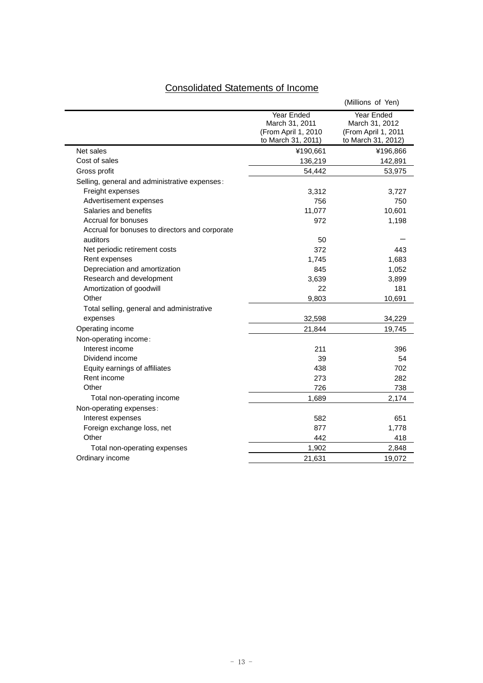| <b>Consolidated Statements of Income</b> |  |  |
|------------------------------------------|--|--|
|                                          |  |  |

 $\blacksquare$ 

Ĭ.

|                                                |                                                                           | (Millions of Yen)                                                         |
|------------------------------------------------|---------------------------------------------------------------------------|---------------------------------------------------------------------------|
|                                                | Year Ended<br>March 31, 2011<br>(From April 1, 2010<br>to March 31, 2011) | Year Ended<br>March 31, 2012<br>(From April 1, 2011<br>to March 31, 2012) |
| Net sales                                      | ¥190,661                                                                  | ¥196,866                                                                  |
| Cost of sales                                  | 136,219                                                                   | 142,891                                                                   |
| Gross profit                                   | 54,442                                                                    | 53,975                                                                    |
| Selling, general and administrative expenses:  |                                                                           |                                                                           |
| Freight expenses                               | 3,312                                                                     | 3,727                                                                     |
| Advertisement expenses                         | 756                                                                       | 750                                                                       |
| Salaries and benefits                          | 11,077                                                                    | 10,601                                                                    |
| Accrual for bonuses                            | 972                                                                       | 1,198                                                                     |
| Accrual for bonuses to directors and corporate |                                                                           |                                                                           |
| auditors                                       | 50                                                                        |                                                                           |
| Net periodic retirement costs                  | 372                                                                       | 443                                                                       |
| Rent expenses                                  | 1,745                                                                     | 1,683                                                                     |
| Depreciation and amortization                  | 845                                                                       | 1,052                                                                     |
| Research and development                       | 3,639                                                                     | 3,899                                                                     |
| Amortization of goodwill                       | 22                                                                        | 181                                                                       |
| Other                                          | 9,803                                                                     | 10,691                                                                    |
| Total selling, general and administrative      |                                                                           |                                                                           |
| expenses                                       | 32,598                                                                    | 34,229                                                                    |
| Operating income                               | 21,844                                                                    | 19,745                                                                    |
| Non-operating income:                          |                                                                           |                                                                           |
| Interest income                                | 211                                                                       | 396                                                                       |
| Dividend income                                | 39                                                                        | 54                                                                        |
| Equity earnings of affiliates                  | 438                                                                       | 702                                                                       |
| Rent income                                    | 273                                                                       | 282                                                                       |
| Other                                          | 726                                                                       | 738                                                                       |
| Total non-operating income                     | 1,689                                                                     | 2,174                                                                     |
| Non-operating expenses:                        |                                                                           |                                                                           |
| Interest expenses                              | 582                                                                       | 651                                                                       |
| Foreign exchange loss, net                     | 877                                                                       | 1,778                                                                     |
| Other                                          | 442                                                                       | 418                                                                       |
| Total non-operating expenses                   | 1,902                                                                     | 2,848                                                                     |
| Ordinary income                                | 21,631                                                                    | 19,072                                                                    |
|                                                |                                                                           |                                                                           |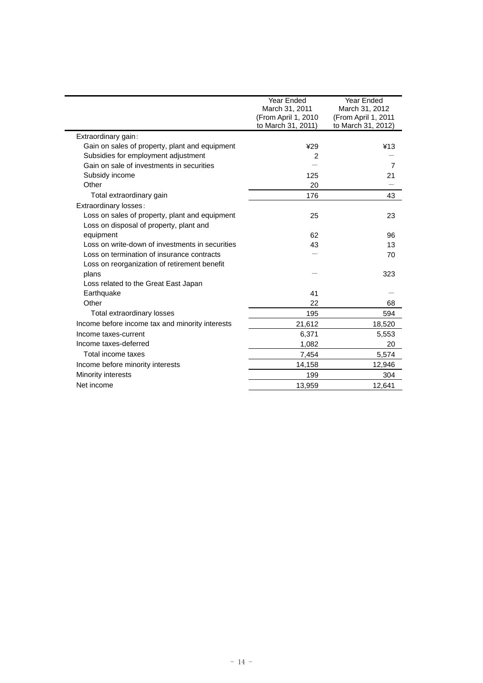|                                                 | Year Ended           | Year Ended          |
|-------------------------------------------------|----------------------|---------------------|
|                                                 | March 31, 2011       | March 31, 2012      |
|                                                 | (From April 1, 2010) | (From April 1, 2011 |
|                                                 | to March 31, 2011)   | to March 31, 2012)  |
| Extraordinary gain:                             |                      |                     |
| Gain on sales of property, plant and equipment  | ¥29                  | ¥13                 |
| Subsidies for employment adjustment             | 2                    |                     |
| Gain on sale of investments in securities       |                      | $\overline{7}$      |
| Subsidy income                                  | 125                  | 21                  |
| Other                                           | 20                   |                     |
| Total extraordinary gain                        | 176                  | 43                  |
| Extraordinary losses:                           |                      |                     |
| Loss on sales of property, plant and equipment  | 25                   | 23                  |
| Loss on disposal of property, plant and         |                      |                     |
| equipment                                       | 62                   | 96                  |
| Loss on write-down of investments in securities | 43                   | 13                  |
| Loss on termination of insurance contracts      |                      | 70                  |
| Loss on reorganization of retirement benefit    |                      |                     |
| plans                                           |                      | 323                 |
| Loss related to the Great East Japan            |                      |                     |
| Earthquake                                      | 41                   |                     |
| Other                                           | 22                   | 68                  |
| Total extraordinary losses                      | 195                  | 594                 |
| Income before income tax and minority interests | 21,612               | 18,520              |
| Income taxes-current                            | 6,371                | 5,553               |
| Income taxes-deferred                           | 1,082                | 20                  |
| Total income taxes                              | 7,454                | 5,574               |
| Income before minority interests                | 14,158               | 12,946              |
| Minority interests                              | 199                  | 304                 |
| Net income                                      | 13.959               | 12.641              |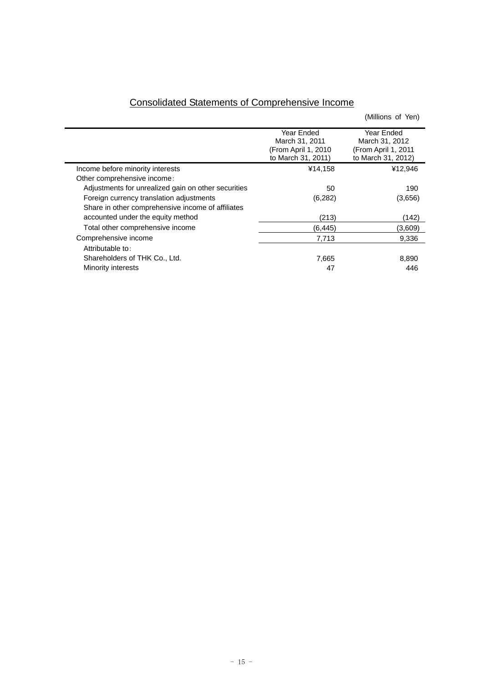| <b>Consolidated Statements of Comprehensive Income</b> |  |  |  |  |  |
|--------------------------------------------------------|--|--|--|--|--|
|--------------------------------------------------------|--|--|--|--|--|

|                                                     |                                                                            | (Millions of Yen)                                                         |
|-----------------------------------------------------|----------------------------------------------------------------------------|---------------------------------------------------------------------------|
|                                                     | Year Ended<br>March 31, 2011<br>(From April 1, 2010)<br>to March 31, 2011) | Year Ended<br>March 31, 2012<br>(From April 1, 2011<br>to March 31, 2012) |
| Income before minority interests                    | ¥14,158                                                                    | ¥12,946                                                                   |
| Other comprehensive income:                         |                                                                            |                                                                           |
| Adjustments for unrealized gain on other securities | 50                                                                         | 190                                                                       |
| Foreign currency translation adjustments            | (6,282)                                                                    | (3,656)                                                                   |
| Share in other comprehensive income of affiliates   |                                                                            |                                                                           |
| accounted under the equity method                   | (213)                                                                      | (142)                                                                     |
| Total other comprehensive income                    | (6, 445)                                                                   | (3,609)                                                                   |
| Comprehensive income                                | 7,713                                                                      | 9,336                                                                     |
| Attributable to:                                    |                                                                            |                                                                           |
| Shareholders of THK Co., Ltd.                       | 7,665                                                                      | 8,890                                                                     |
| Minority interests                                  | 47                                                                         | 446                                                                       |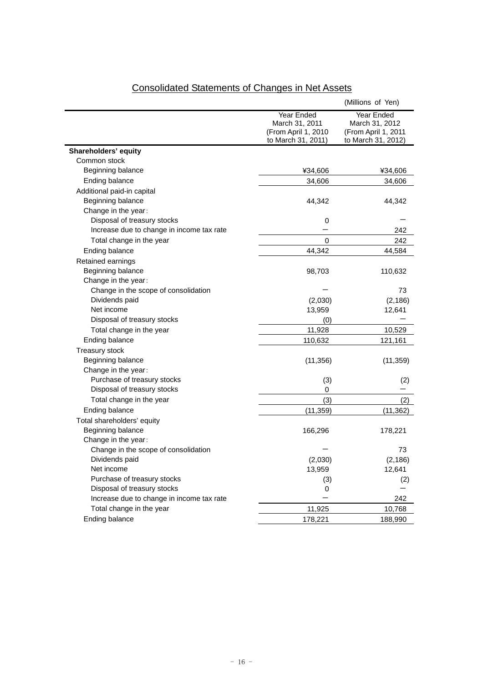|                                           |                     | (Millions of Yen)   |
|-------------------------------------------|---------------------|---------------------|
|                                           | Year Ended          | Year Ended          |
|                                           | March 31, 2011      | March 31, 2012      |
|                                           | (From April 1, 2010 | (From April 1, 2011 |
|                                           | to March 31, 2011)  | to March 31, 2012)  |
| Shareholders' equity                      |                     |                     |
| Common stock                              |                     |                     |
| Beginning balance                         | ¥34,606             | ¥34,606             |
| Ending balance                            | 34,606              | 34,606              |
| Additional paid-in capital                |                     |                     |
| Beginning balance                         | 44,342              | 44,342              |
| Change in the year:                       |                     |                     |
| Disposal of treasury stocks               | 0                   |                     |
| Increase due to change in income tax rate |                     | 242                 |
| Total change in the year                  | 0                   | 242                 |
| Ending balance                            | 44,342              | 44,584              |
| Retained earnings                         |                     |                     |
| Beginning balance                         | 98,703              | 110,632             |
| Change in the year:                       |                     |                     |
| Change in the scope of consolidation      |                     | 73                  |
| Dividends paid                            | (2,030)             | (2, 186)            |
| Net income                                | 13,959              | 12,641              |
| Disposal of treasury stocks               | (0)                 |                     |
| Total change in the year                  | 11,928              | 10,529              |
| Ending balance                            | 110,632             | 121,161             |
| <b>Treasury stock</b>                     |                     |                     |
| Beginning balance                         | (11, 356)           | (11, 359)           |
| Change in the year:                       |                     |                     |
| Purchase of treasury stocks               | (3)                 | (2)                 |
| Disposal of treasury stocks               | 0                   |                     |
| Total change in the year                  | (3)                 | (2)                 |
| Ending balance                            | (11,359)            | (11,362)            |
| Total shareholders' equity                |                     |                     |
| Beginning balance                         | 166,296             | 178,221             |
| Change in the year:                       |                     |                     |
| Change in the scope of consolidation      |                     | 73                  |
| Dividends paid                            | (2,030)             | (2, 186)            |
| Net income                                | 13,959              | 12,641              |
| Purchase of treasury stocks               | (3)                 | (2)                 |
| Disposal of treasury stocks               | 0                   |                     |
| Increase due to change in income tax rate |                     | 242                 |
| Total change in the year                  | 11,925              | 10,768              |
| Ending balance                            | 178,221             | 188,990             |
|                                           |                     |                     |

# Consolidated Statements of Changes in Net Assets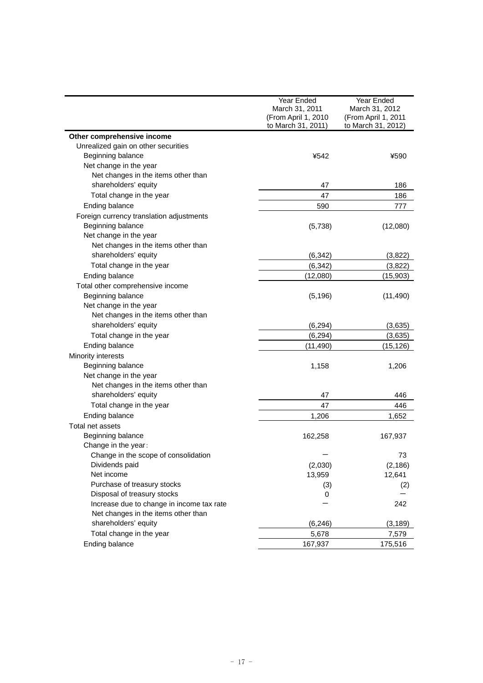|                                           | Year Ended          | Year Ended          |
|-------------------------------------------|---------------------|---------------------|
|                                           | March 31, 2011      | March 31, 2012      |
|                                           | (From April 1, 2010 | (From April 1, 2011 |
|                                           | to March 31, 2011)  | to March 31, 2012)  |
| Other comprehensive income                |                     |                     |
| Unrealized gain on other securities       |                     |                     |
| Beginning balance                         | ¥542                | ¥590                |
| Net change in the year                    |                     |                     |
| Net changes in the items other than       |                     |                     |
| shareholders' equity                      | 47                  | 186                 |
| Total change in the year                  | 47                  | 186                 |
| Ending balance                            | 590                 | 777                 |
| Foreign currency translation adjustments  |                     |                     |
| Beginning balance                         | (5,738)             | (12,080)            |
| Net change in the year                    |                     |                     |
| Net changes in the items other than       |                     |                     |
| shareholders' equity                      | (6, 342)            | (3,822)             |
| Total change in the year                  | (6, 342)            | (3,822)             |
| Ending balance                            | (12,080)            | (15, 903)           |
| Total other comprehensive income          |                     |                     |
| Beginning balance                         | (5, 196)            | (11, 490)           |
| Net change in the year                    |                     |                     |
| Net changes in the items other than       |                     |                     |
| shareholders' equity                      | (6, 294)            | (3,635)             |
| Total change in the year                  | (6, 294)            | (3,635)             |
| Ending balance                            |                     |                     |
|                                           | (11, 490)           | (15,126)            |
| Minority interests<br>Beginning balance   |                     |                     |
| Net change in the year                    | 1,158               | 1,206               |
| Net changes in the items other than       |                     |                     |
| shareholders' equity                      | 47                  | 446                 |
|                                           |                     |                     |
| Total change in the year                  | 47                  | 446                 |
| Ending balance                            | 1,206               | 1,652               |
| Total net assets                          |                     |                     |
| Beginning balance                         | 162,258             | 167,937             |
| Change in the year:                       |                     |                     |
| Change in the scope of consolidation      |                     | 73                  |
| Dividends paid                            | (2,030)             | (2, 186)            |
| Net income                                | 13,959              | 12,641              |
| Purchase of treasury stocks               | (3)                 | (2)                 |
| Disposal of treasury stocks               | 0                   |                     |
| Increase due to change in income tax rate |                     | 242                 |
| Net changes in the items other than       |                     |                     |
| shareholders' equity                      | (6, 246)            | (3, 189)            |
| Total change in the year                  | 5,678               | 7,579               |
| Ending balance                            | 167,937             | 175,516             |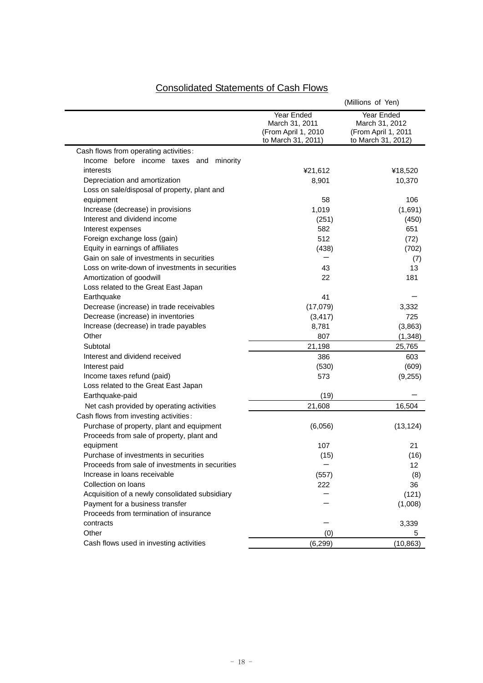# Consolidated Statements of Cash Flows

|                                                 |                                                                           | (Millions of Yen)                                                         |
|-------------------------------------------------|---------------------------------------------------------------------------|---------------------------------------------------------------------------|
|                                                 | Year Ended<br>March 31, 2011<br>(From April 1, 2010<br>to March 31, 2011) | Year Ended<br>March 31, 2012<br>(From April 1, 2011<br>to March 31, 2012) |
| Cash flows from operating activities:           |                                                                           |                                                                           |
| Income before income taxes and<br>minority      |                                                                           |                                                                           |
| interests                                       | ¥21,612                                                                   | ¥18,520                                                                   |
| Depreciation and amortization                   | 8,901                                                                     | 10,370                                                                    |
| Loss on sale/disposal of property, plant and    |                                                                           |                                                                           |
| equipment                                       | 58                                                                        | 106                                                                       |
| Increase (decrease) in provisions               | 1,019                                                                     | (1,691)                                                                   |
| Interest and dividend income                    | (251)                                                                     | (450)                                                                     |
| Interest expenses                               | 582                                                                       | 651                                                                       |
| Foreign exchange loss (gain)                    | 512                                                                       | (72)                                                                      |
| Equity in earnings of affiliates                | (438)                                                                     | (702)                                                                     |
| Gain on sale of investments in securities       |                                                                           | (7)                                                                       |
| Loss on write-down of investments in securities | 43                                                                        | 13                                                                        |
| Amortization of goodwill                        | 22                                                                        | 181                                                                       |
| Loss related to the Great East Japan            |                                                                           |                                                                           |
| Earthquake                                      | 41                                                                        |                                                                           |
| Decrease (increase) in trade receivables        | (17,079)                                                                  | 3,332                                                                     |
| Decrease (increase) in inventories              | (3, 417)                                                                  | 725                                                                       |
| Increase (decrease) in trade payables           | 8,781                                                                     | (3,863)                                                                   |
| Other                                           | 807                                                                       | (1,348)                                                                   |
| Subtotal                                        | 21,198                                                                    | 25,765                                                                    |
| Interest and dividend received                  | 386                                                                       | 603                                                                       |
| Interest paid                                   | (530)                                                                     | (609)                                                                     |
| Income taxes refund (paid)                      | 573                                                                       | (9,255)                                                                   |
| Loss related to the Great East Japan            |                                                                           |                                                                           |
| Earthquake-paid                                 | (19)                                                                      |                                                                           |
| Net cash provided by operating activities       | 21,608                                                                    | 16,504                                                                    |
| Cash flows from investing activities:           |                                                                           |                                                                           |
| Purchase of property, plant and equipment       | (6,056)                                                                   | (13, 124)                                                                 |
| Proceeds from sale of property, plant and       |                                                                           |                                                                           |
| equipment                                       | 107                                                                       | 21                                                                        |
| Purchase of investments in securities           | (15)                                                                      | (16)                                                                      |
| Proceeds from sale of investments in securities |                                                                           | 12                                                                        |
| Increase in loans receivable                    | (557)                                                                     | (8)                                                                       |
| Collection on loans                             | 222                                                                       | 36                                                                        |
| Acquisition of a newly consolidated subsidiary  |                                                                           | (121)                                                                     |
| Payment for a business transfer                 |                                                                           | (1,008)                                                                   |
| Proceeds from termination of insurance          |                                                                           |                                                                           |
| contracts                                       |                                                                           | 3,339                                                                     |
| Other                                           | (0)                                                                       | 5                                                                         |
| Cash flows used in investing activities         | (6, 299)                                                                  | (10, 863)                                                                 |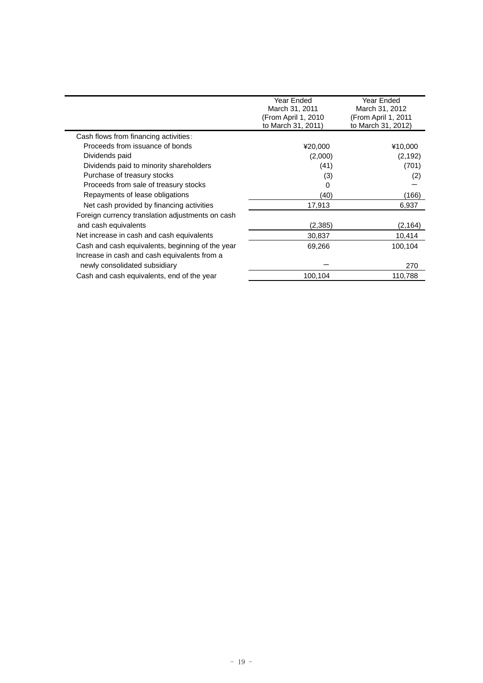|                                                  | Year Ended<br>March 31, 2011<br>(From April 1, 2010<br>to March 31, 2011) | Year Ended<br>March 31, 2012<br>(From April 1, 2011<br>to March 31, 2012) |
|--------------------------------------------------|---------------------------------------------------------------------------|---------------------------------------------------------------------------|
| Cash flows from financing activities:            |                                                                           |                                                                           |
| Proceeds from issuance of bonds                  | ¥20,000                                                                   | ¥10,000                                                                   |
| Dividends paid                                   | (2,000)                                                                   | (2, 192)                                                                  |
| Dividends paid to minority shareholders          | (41)                                                                      | (701)                                                                     |
| Purchase of treasury stocks                      | (3)                                                                       | (2)                                                                       |
| Proceeds from sale of treasury stocks            | 0                                                                         |                                                                           |
| Repayments of lease obligations                  | (40)                                                                      | (166)                                                                     |
| Net cash provided by financing activities        | 17,913                                                                    | 6,937                                                                     |
| Foreign currency translation adjustments on cash |                                                                           |                                                                           |
| and cash equivalents                             | (2, 385)                                                                  | (2, 164)                                                                  |
| Net increase in cash and cash equivalents        | 30,837                                                                    | 10,414                                                                    |
| Cash and cash equivalents, beginning of the year | 69,266                                                                    | 100,104                                                                   |
| Increase in cash and cash equivalents from a     |                                                                           |                                                                           |
| newly consolidated subsidiary                    |                                                                           | 270                                                                       |
| Cash and cash equivalents, end of the year       | 100,104                                                                   | 110,788                                                                   |
|                                                  |                                                                           |                                                                           |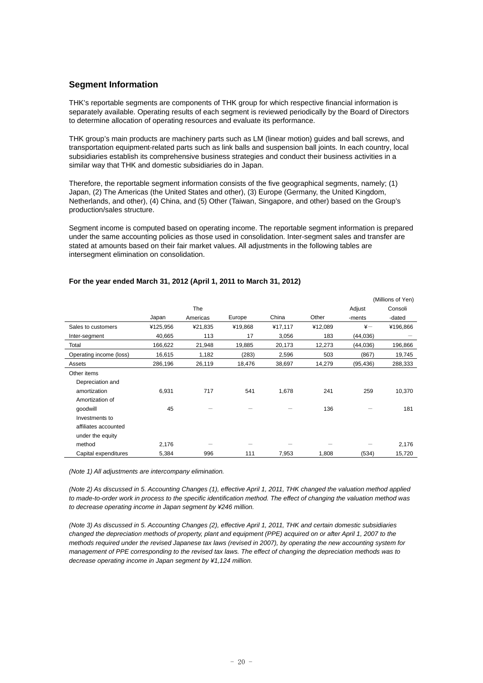## **Segment Information**

THK's reportable segments are components of THK group for which respective financial information is separately available. Operating results of each segment is reviewed periodically by the Board of Directors to determine allocation of operating resources and evaluate its performance.

THK group's main products are machinery parts such as LM (linear motion) guides and ball screws, and transportation equipment-related parts such as link balls and suspension ball joints. In each country, local subsidiaries establish its comprehensive business strategies and conduct their business activities in a similar way that THK and domestic subsidiaries do in Japan.

Therefore, the reportable segment information consists of the five geographical segments, namely; (1) Japan, (2) The Americas (the United States and other), (3) Europe (Germany, the United Kingdom, Netherlands, and other), (4) China, and (5) Other (Taiwan, Singapore, and other) based on the Group's production/sales structure.

Segment income is computed based on operating income. The reportable segment information is prepared under the same accounting policies as those used in consolidation. Inter-segment sales and transfer are stated at amounts based on their fair market values. All adjustments in the following tables are intersegment elimination on consolidation.

|                         |          |          |         |         |         |               | (Millions of Yen) |
|-------------------------|----------|----------|---------|---------|---------|---------------|-------------------|
|                         |          | The      |         |         |         | Adjust        | Consoli           |
|                         | Japan    | Americas | Europe  | China   | Other   | -ments        | -dated            |
| Sales to customers      | ¥125,956 | ¥21,835  | ¥19,868 | ¥17,117 | ¥12,089 | $\frac{1}{2}$ | ¥196,866          |
| Inter-segment           | 40,665   | 113      | 17      | 3,056   | 183     | (44,036)      |                   |
| Total                   | 166,622  | 21,948   | 19,885  | 20,173  | 12,273  | (44, 036)     | 196,866           |
| Operating income (loss) | 16,615   | 1,182    | (283)   | 2,596   | 503     | (867)         | 19,745            |
| Assets                  | 286,196  | 26,119   | 18,476  | 38,697  | 14,279  | (95, 436)     | 288,333           |
| Other items             |          |          |         |         |         |               |                   |
| Depreciation and        |          |          |         |         |         |               |                   |
| amortization            | 6,931    | 717      | 541     | 1,678   | 241     | 259           | 10,370            |
| Amortization of         |          |          |         |         |         |               |                   |
| goodwill                | 45       |          |         |         | 136     |               | 181               |
| Investments to          |          |          |         |         |         |               |                   |
| affiliates accounted    |          |          |         |         |         |               |                   |
| under the equity        |          |          |         |         |         |               |                   |
| method                  | 2,176    |          |         |         |         |               | 2,176             |
| Capital expenditures    | 5,384    | 996      | 111     | 7,953   | 1,808   | (534)         | 15,720            |

#### **For the year ended March 31, 2012 (April 1, 2011 to March 31, 2012)**

*(Note 1) All adjustments are intercompany elimination.* 

*(Note 2) As discussed in 5. Accounting Changes (1), effective April 1, 2011, THK changed the valuation method applied to made-to-order work in process to the specific identification method. The effect of changing the valuation method was to decrease operating income in Japan segment by ¥246 million.* 

*(Note 3) As discussed in 5. Accounting Changes (2), effective April 1, 2011, THK and certain domestic subsidiaries changed the depreciation methods of property, plant and equipment (PPE) acquired on or after April 1, 2007 to the methods required under the revised Japanese tax laws (revised in 2007), by operating the new accounting system for management of PPE corresponding to the revised tax laws. The effect of changing the depreciation methods was to decrease operating income in Japan segment by ¥1,124 million.*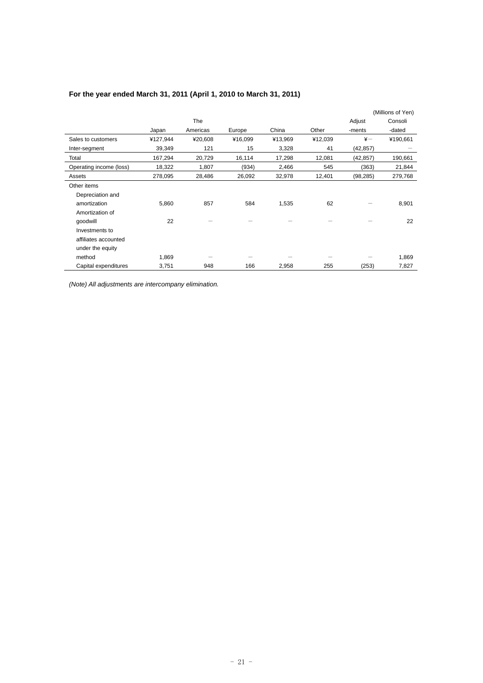|                         |          |          |         |         |         |               | (Millions of Yen) |
|-------------------------|----------|----------|---------|---------|---------|---------------|-------------------|
|                         |          | The      |         |         |         | Adjust        | Consoli           |
|                         | Japan    | Americas | Europe  | China   | Other   | -ments        | -dated            |
| Sales to customers      | ¥127,944 | ¥20,608  | ¥16,099 | ¥13,969 | ¥12,039 | $\frac{1}{2}$ | ¥190,661          |
| Inter-segment           | 39,349   | 121      | 15      | 3,328   | 41      | (42, 857)     |                   |
| Total                   | 167,294  | 20,729   | 16,114  | 17,298  | 12,081  | (42, 857)     | 190,661           |
| Operating income (loss) | 18,322   | 1,807    | (934)   | 2,466   | 545     | (363)         | 21,844            |
| Assets                  | 278,095  | 28,486   | 26,092  | 32,978  | 12,401  | (98, 285)     | 279,768           |
| Other items             |          |          |         |         |         |               |                   |
| Depreciation and        |          |          |         |         |         |               |                   |
| amortization            | 5,860    | 857      | 584     | 1,535   | 62      |               | 8,901             |
| Amortization of         |          |          |         |         |         |               |                   |
| goodwill                | 22       |          |         |         |         |               | 22                |
| Investments to          |          |          |         |         |         |               |                   |
| affiliates accounted    |          |          |         |         |         |               |                   |
| under the equity        |          |          |         |         |         |               |                   |
| method                  | 1,869    |          |         |         |         |               | 1,869             |
| Capital expenditures    | 3,751    | 948      | 166     | 2,958   | 255     | (253)         | 7,827             |

## **For the year ended March 31, 2011 (April 1, 2010 to March 31, 2011)**

*(Note) All adjustments are intercompany elimination.*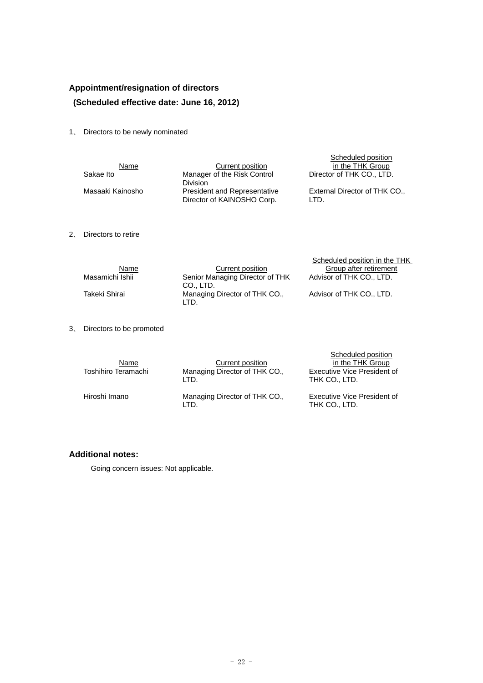## **Appointment/resignation of directors (Scheduled effective date: June 16, 2012)**

1、 Directors to be newly nominated

| Name             | Current position                                                  | Scheduled position<br>in the THK Group |
|------------------|-------------------------------------------------------------------|----------------------------------------|
| Sakae Ito        | Manager of the Risk Control<br><b>Division</b>                    | Director of THK CO., LTD.              |
| Masaaki Kainosho | <b>President and Representative</b><br>Director of KAINOSHO Corp. | External Director of THK CO.,<br>LTD.  |

2、 Directors to retire

|                 |                                              | Scheduled position in the THK |
|-----------------|----------------------------------------------|-------------------------------|
| <u>Name</u>     | Current position                             | Group after retirement        |
| Masamichi Ishii | Senior Managing Director of THK<br>CO., LTD. | Advisor of THK CO., LTD.      |
| Takeki Shirai   | Managing Director of THK CO.,<br>LTD.        | Advisor of THK CO., LTD.      |

3、 Directors to be promoted

| Name<br>Toshihiro Teramachi | Current position<br>Managing Director of THK CO.,<br>LTD. | Scheduled position<br>in the THK Group<br>Executive Vice President of<br>THK CO., LTD. |
|-----------------------------|-----------------------------------------------------------|----------------------------------------------------------------------------------------|
| Hiroshi Imano               | Managing Director of THK CO.,<br>LTD.                     | Executive Vice President of<br>THK CO., LTD.                                           |

## **Additional notes:**

Going concern issues: Not applicable.